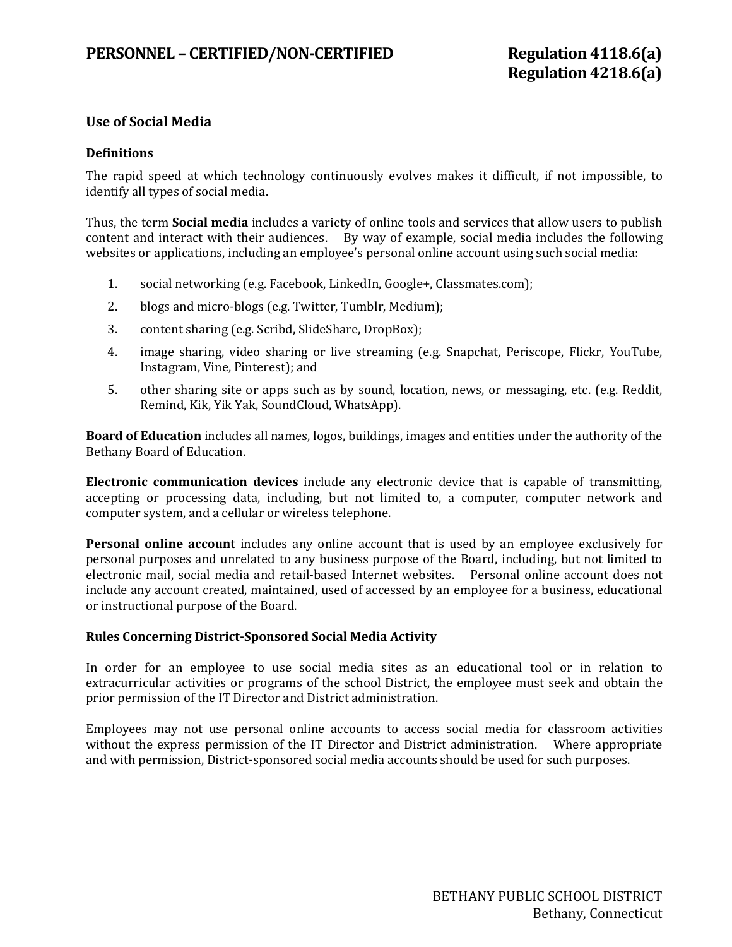# **Use of Social Media**

## **Definitions**

The rapid speed at which technology continuously evolves makes it difficult, if not impossible, to identify all types of social media.

Thus, the term **Social media** includes a variety of online tools and services that allow users to publish content and interact with their audiences. By way of example, social media includes the following websites or applications, including an employee's personal online account using such social media:

- 1. social networking (e.g. Facebook, LinkedIn, Google+, Classmates.com);
- 2. blogs and micro-blogs (e.g. Twitter, Tumblr, Medium);
- 3. content sharing (e.g. Scribd, SlideShare, DropBox);
- 4. image sharing, video sharing or live streaming (e.g. Snapchat, Periscope, Flickr, YouTube, Instagram, Vine, Pinterest); and
- 5. other sharing site or apps such as by sound, location, news, or messaging, etc. (e.g. Reddit, Remind, Kik, Yik Yak, SoundCloud, WhatsApp).

**Board of Education** includes all names, logos, buildings, images and entities under the authority of the Bethany Board of Education.

**Electronic communication devices** include any electronic device that is capable of transmitting, accepting or processing data, including, but not limited to, a computer, computer network and computer system, and a cellular or wireless telephone.

**Personal online account** includes any online account that is used by an employee exclusively for personal purposes and unrelated to any business purpose of the Board, including, but not limited to electronic mail, social media and retail-based Internet websites. Personal online account does not include any account created, maintained, used of accessed by an employee for a business, educational or instructional purpose of the Board.

## **Rules Concerning District-Sponsored Social Media Activity**

In order for an employee to use social media sites as an educational tool or in relation to extracurricular activities or programs of the school District, the employee must seek and obtain the prior permission of the IT Director and District administration.

Employees may not use personal online accounts to access social media for classroom activities without the express permission of the IT Director and District administration. Where appropriate and with permission, District-sponsored social media accounts should be used for such purposes.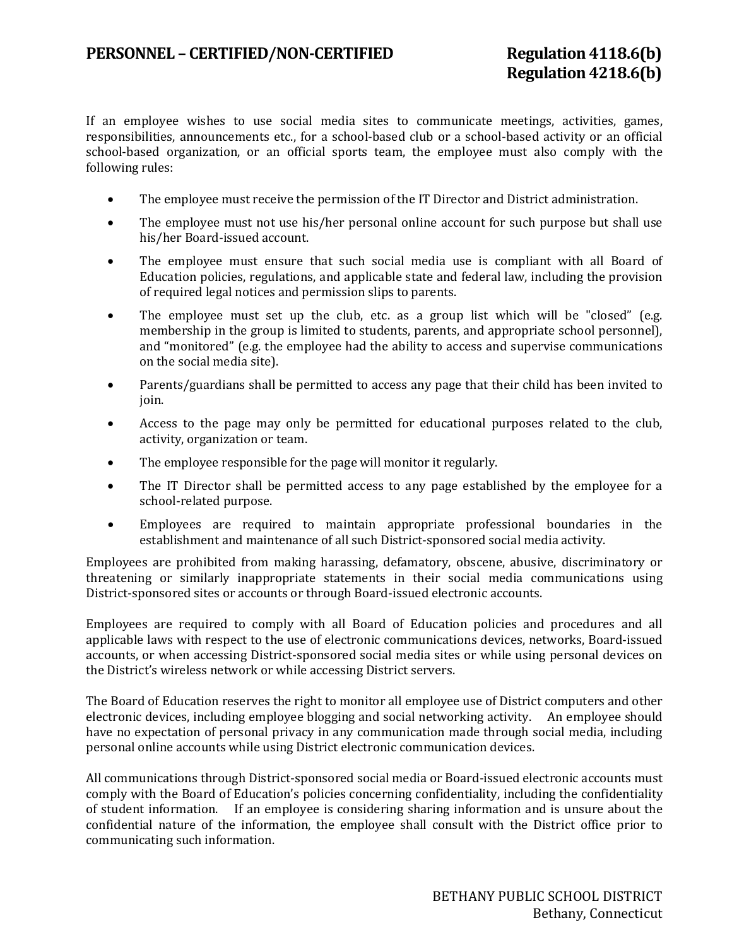If an employee wishes to use social media sites to communicate meetings, activities, games, responsibilities, announcements etc., for a school-based club or a school-based activity or an official school-based organization, or an official sports team, the employee must also comply with the following rules:

- The employee must receive the permission of the IT Director and District administration.
- The employee must not use his/her personal online account for such purpose but shall use his/her Board-issued account.
- The employee must ensure that such social media use is compliant with all Board of Education policies, regulations, and applicable state and federal law, including the provision of required legal notices and permission slips to parents.
- The employee must set up the club, etc. as a group list which will be "closed" (e.g. membership in the group is limited to students, parents, and appropriate school personnel), and "monitored" (e.g. the employee had the ability to access and supervise communications on the social media site).
- Parents/guardians shall be permitted to access any page that their child has been invited to join.
- Access to the page may only be permitted for educational purposes related to the club, activity, organization or team.
- The employee responsible for the page will monitor it regularly.
- The IT Director shall be permitted access to any page established by the employee for a school-related purpose.
- Employees are required to maintain appropriate professional boundaries in the establishment and maintenance of all such District-sponsored social media activity.

Employees are prohibited from making harassing, defamatory, obscene, abusive, discriminatory or threatening or similarly inappropriate statements in their social media communications using District-sponsored sites or accounts or through Board-issued electronic accounts.

Employees are required to comply with all Board of Education policies and procedures and all applicable laws with respect to the use of electronic communications devices, networks, Board-issued accounts, or when accessing District-sponsored social media sites or while using personal devices on the District's wireless network or while accessing District servers.

The Board of Education reserves the right to monitor all employee use of District computers and other electronic devices, including employee blogging and social networking activity. An employee should have no expectation of personal privacy in any communication made through social media, including personal online accounts while using District electronic communication devices.

All communications through District-sponsored social media or Board-issued electronic accounts must comply with the Board of Education's policies concerning confidentiality, including the confidentiality of student information. If an employee is considering sharing information and is unsure about the confidential nature of the information, the employee shall consult with the District office prior to communicating such information.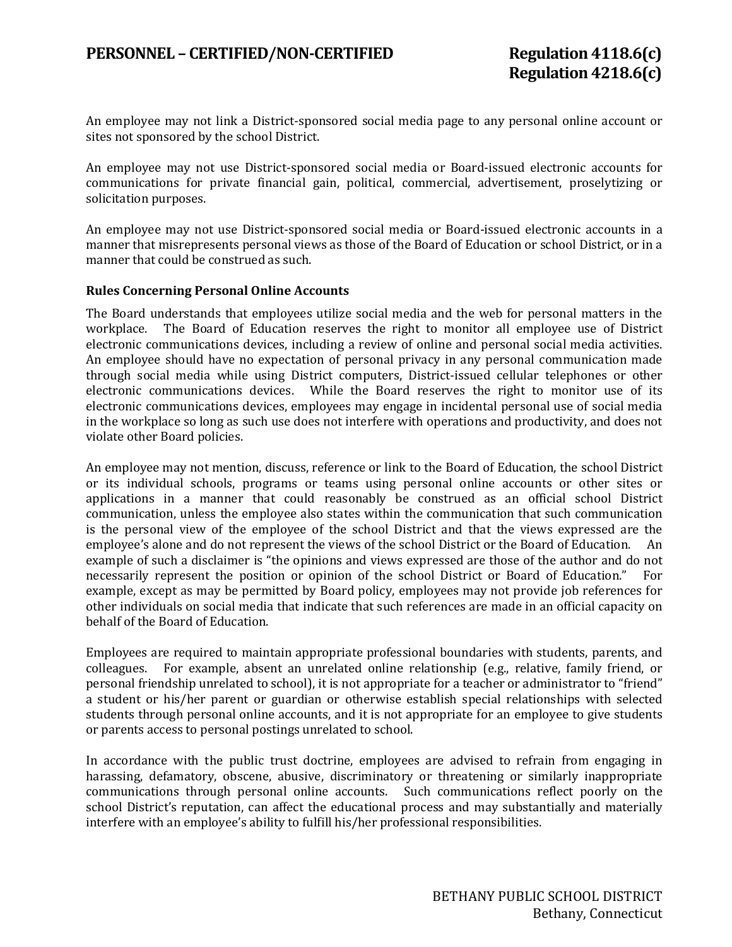An employee may not link a District-sponsored social media page to any personal online account or sites not sponsored by the school District.

An employee may not use District-sponsored social media or Board-issued electronic accounts for communications for private financial gain, political, commercial, advertisement, proselytizing or solicitation purposes.

An employee may not use District-sponsored social media or Board-issued electronic accounts in a manner that misrepresents personal views as those of the Board of Education or school District, or in a manner that could be construed as such.

## **Rules Concerning Personal Online Accounts**

The Board understands that employees utilize social media and the web for personal matters in the workplace. The Board of Education reserves the right to monitor all employee use of District The Board of Education reserves the right to monitor all employee use of District electronic communications devices, including a review of online and personal social media activities. An employee should have no expectation of personal privacy in any personal communication made through social media while using District computers, District-issued cellular telephones or other electronic communications devices. While the Board reserves the right to monitor use of its electronic communications devices, employees may engage in incidental personal use of social media in the workplace so long as such use does not interfere with operations and productivity, and does not violate other Board policies.

An employee may not mention, discuss, reference or link to the Board of Education, the school District or its individual schools, programs or teams using personal online accounts or other sites or applications in a manner that could reasonably be construed as an official school District communication, unless the employee also states within the communication that such communication is the personal view of the employee of the school District and that the views expressed are the employee's alone and do not represent the views of the school District or the Board of Education. An employee's alone and do not represent the views of the school District or the Board of Education. example of such a disclaimer is "the opinions and views expressed are those of the author and do not necessarily represent the position or opinion of the school District or Board of Education." For necessarily represent the position or opinion of the school District or Board of Education." example, except as may be permitted by Board policy, employees may not provide job references for other individuals on social media that indicate that such references are made in an official capacity on behalf of the Board of Education.

Employees are required to maintain appropriate professional boundaries with students, parents, and colleagues. For example, absent an unrelated online relationship (e.g., relative, family friend, or personal friendship unrelated to school), it is not appropriate for a teacher or administrator to "friend" a student or his/her parent or guardian or otherwise establish special relationships with selected students through personal online accounts, and it is not appropriate for an employee to give students or parents access to personal postings unrelated to school.

In accordance with the public trust doctrine, employees are advised to refrain from engaging in harassing, defamatory, obscene, abusive, discriminatory or threatening or similarly inappropriate communications through personal online accounts. Such communications reflect poorly on the school District's reputation, can affect the educational process and may substantially and materially interfere with an employee's ability to fulfill his/her professional responsibilities.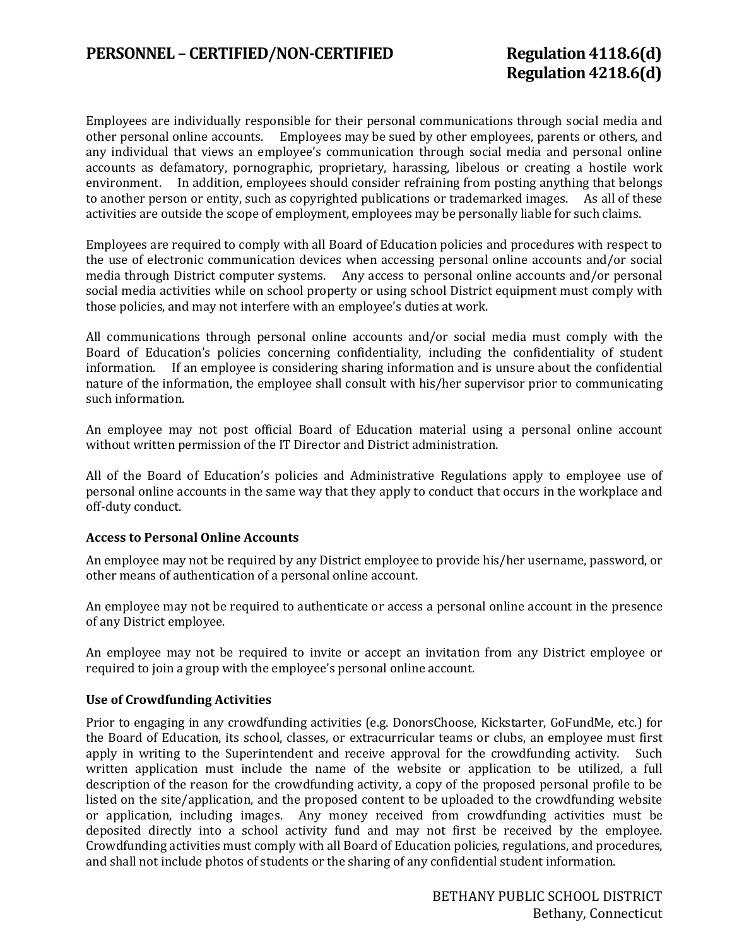Employees are individually responsible for their personal communications through social media and other personal online accounts. Employees may be sued by other employees, parents or others, and any individual that views an employee's communication through social media and personal online accounts as defamatory, pornographic, proprietary, harassing, libelous or creating a hostile work environment. In addition, employees should consider refraining from posting anything that belongs to another person or entity, such as copyrighted publications or trademarked images. As all of these activities are outside the scope of employment, employees may be personally liable for such claims.

Employees are required to comply with all Board of Education policies and procedures with respect to the use of electronic communication devices when accessing personal online accounts and/or social media through District computer systems. Any access to personal online accounts and/or personal social media activities while on school property or using school District equipment must comply with those policies, and may not interfere with an employee's duties at work.

All communications through personal online accounts and/or social media must comply with the Board of Education's policies concerning confidentiality, including the confidentiality of student information. If an employee is considering sharing information and is unsure about the confidential nature of the information, the employee shall consult with his/her supervisor prior to communicating such information.

An employee may not post official Board of Education material using a personal online account without written permission of the IT Director and District administration.

All of the Board of Education's policies and Administrative Regulations apply to employee use of personal online accounts in the same way that they apply to conduct that occurs in the workplace and off-duty conduct.

## **Access to Personal Online Accounts**

An employee may not be required by any District employee to provide his/her username, password, or other means of authentication of a personal online account.

An employee may not be required to authenticate or access a personal online account in the presence of any District employee.

An employee may not be required to invite or accept an invitation from any District employee or required to join a group with the employee's personal online account.

## **Use of Crowdfunding Activities**

Prior to engaging in any crowdfunding activities (e.g. DonorsChoose, Kickstarter, GoFundMe, etc.) for the Board of Education, its school, classes, or extracurricular teams or clubs, an employee must first apply in writing to the Superintendent and receive approval for the crowdfunding activity. Such written application must include the name of the website or application to be utilized, a full description of the reason for the crowdfunding activity, a copy of the proposed personal profile to be listed on the site/application, and the proposed content to be uploaded to the crowdfunding website or application, including images. Any money received from crowdfunding activities must be deposited directly into a school activity fund and may not first be received by the employee. Crowdfunding activities must comply with all Board of Education policies, regulations, and procedures, and shall not include photos of students or the sharing of any confidential student information.